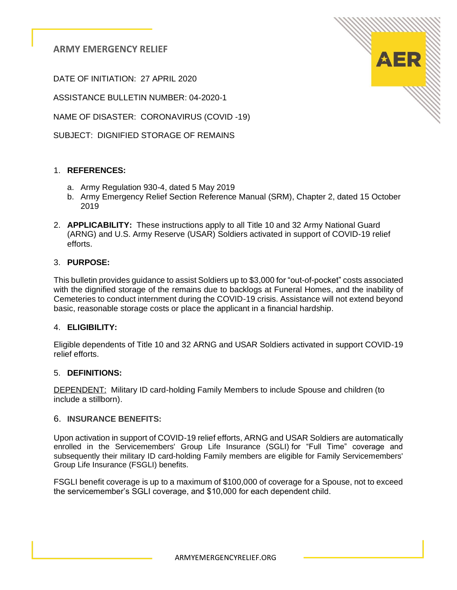DATE OF INITIATION: 27 APRIL 2020

ASSISTANCE BULLETIN NUMBER: 04-2020-1

NAME OF DISASTER: CORONAVIRUS (COVID -19)

SUBJECT: DIGNIFIED STORAGE OF REMAINS

## 1. **REFERENCES:**

- a. Army Regulation 930-4, dated 5 May 2019
- b. Army Emergency Relief Section Reference Manual (SRM), Chapter 2, dated 15 October 2019
- 2. **APPLICABILITY:** These instructions apply to all Title 10 and 32 Army National Guard (ARNG) and U.S. Army Reserve (USAR) Soldiers activated in support of COVID-19 relief efforts.

#### 3. **PURPOSE:**

This bulletin provides guidance to assist Soldiers up to \$3,000 for "out-of-pocket" costs associated with the dignified storage of the remains due to backlogs at Funeral Homes, and the inability of Cemeteries to conduct internment during the COVID-19 crisis. Assistance will not extend beyond basic, reasonable storage costs or place the applicant in a financial hardship.

### 4. **ELIGIBILITY:**

Eligible dependents of Title 10 and 32 ARNG and USAR Soldiers activated in support COVID-19 relief efforts.

### 5. **DEFINITIONS:**

DEPENDENT: Military ID card-holding Family Members to include Spouse and children (to include a stillborn).

#### 6. **INSURANCE BENEFITS:**

Upon activation in support of COVID-19 relief efforts, ARNG and USAR Soldiers are automatically enrolled in the Servicemembers' Group Life Insurance (SGLI) for "Full Time" coverage and subsequently their military ID card-holding Family members are eligible for Family Servicemembers' Group Life Insurance (FSGLI) benefits.

FSGLI benefit coverage is up to a maximum of \$100,000 of coverage for a Spouse, not to exceed the servicemember's SGLI coverage, and \$10,000 for each dependent child.

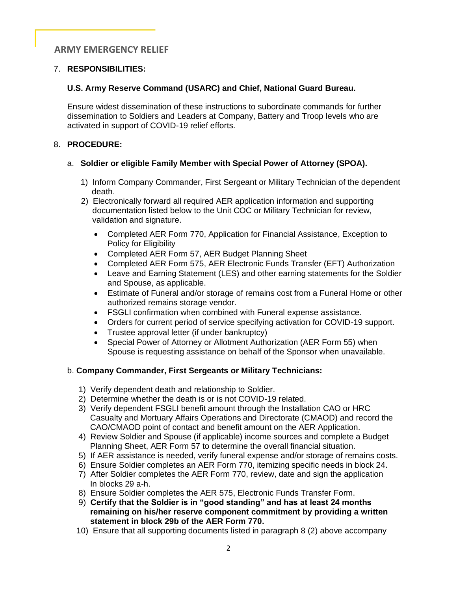## 7. **RESPONSIBILITIES:**

### **U.S. Army Reserve Command (USARC) and Chief, National Guard Bureau.**

 Ensure widest dissemination of these instructions to subordinate commands for further dissemination to Soldiers and Leaders at Company, Battery and Troop levels who are activated in support of COVID-19 relief efforts.

#### 8. **PROCEDURE:**

### a. **Soldier or eligible Family Member with Special Power of Attorney (SPOA).**

- 1) Inform Company Commander, First Sergeant or Military Technician of the dependent death.
- 2) Electronically forward all required AER application information and supporting documentation listed below to the Unit COC or Military Technician for review, validation and signature.
	- Completed AER Form 770, Application for Financial Assistance, Exception to Policy for Eligibility
	- Completed AER Form 57, AER Budget Planning Sheet
	- Completed AER Form 575, AER Electronic Funds Transfer (EFT) Authorization
	- Leave and Earning Statement (LES) and other earning statements for the Soldier and Spouse, as applicable.
	- Estimate of Funeral and/or storage of remains cost from a Funeral Home or other authorized remains storage vendor.
	- FSGLI confirmation when combined with Funeral expense assistance.
	- Orders for current period of service specifying activation for COVID-19 support.
	- Trustee approval letter (if under bankruptcy)
	- Special Power of Attorney or Allotment Authorization (AER Form 55) when Spouse is requesting assistance on behalf of the Sponsor when unavailable.

### b. **Company Commander, First Sergeants or Military Technicians:**

- 1) Verify dependent death and relationship to Soldier.
- 2) Determine whether the death is or is not COVID-19 related.
- 3) Verify dependent FSGLI benefit amount through the Installation CAO or HRC Casualty and Mortuary Affairs Operations and Directorate (CMAOD) and record the CAO/CMAOD point of contact and benefit amount on the AER Application.
- 4) Review Soldier and Spouse (if applicable) income sources and complete a Budget Planning Sheet, AER Form 57 to determine the overall financial situation.
- 5) If AER assistance is needed, verify funeral expense and/or storage of remains costs.
- 6) Ensure Soldier completes an AER Form 770, itemizing specific needs in block 24.
- 7) After Soldier completes the AER Form 770, review, date and sign the application In blocks 29 a-h.
- 8) Ensure Soldier completes the AER 575, Electronic Funds Transfer Form.
- 9) **Certify that the Soldier is in "good standing" and has at least 24 months remaining on his/her reserve component commitment by providing a written statement in block 29b of the AER Form 770.**
- 10) Ensure that all supporting documents listed in paragraph 8 (2) above accompany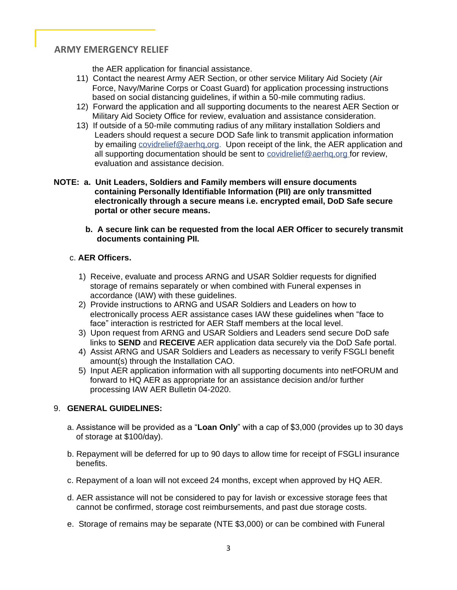the AER application for financial assistance.

- 11) Contact the nearest Army AER Section, or other service Military Aid Society (Air Force, Navy/Marine Corps or Coast Guard) for application processing instructions based on social distancing guidelines, if within a 50-mile commuting radius.
- 12) Forward the application and all supporting documents to the nearest AER Section or Military Aid Society Office for review, evaluation and assistance consideration.
- 13) If outside of a 50-mile commuting radius of any military installation Soldiers and Leaders should request a secure DOD Safe link to transmit application information by emailing covidrelief@aerhg.org. Upon receipt of the link, the AER application and all supporting documentation should be sent to covidrelief@aerhq,org for review, evaluation and assistance decision.
- **NOTE: a. Unit Leaders, Soldiers and Family members will ensure documents containing Personally Identifiable Information (PII) are only transmitted electronically through a secure means i.e. encrypted email, DoD Safe secure portal or other secure means.**
	- **b. A secure link can be requested from the local AER Officer to securely transmit documents containing PII.**

## c. **AER Officers.**

- 1) Receive, evaluate and process ARNG and USAR Soldier requests for dignified storage of remains separately or when combined with Funeral expenses in accordance (IAW) with these guidelines.
- 2) Provide instructions to ARNG and USAR Soldiers and Leaders on how to electronically process AER assistance cases IAW these guidelines when "face to face" interaction is restricted for AER Staff members at the local level.
- 3) Upon request from ARNG and USAR Soldiers and Leaders send secure DoD safe links to **SEND** and **RECEIVE** AER application data securely via the DoD Safe portal.
- 4) Assist ARNG and USAR Soldiers and Leaders as necessary to verify FSGLI benefit amount(s) through the Installation CAO.
- 5) Input AER application information with all supporting documents into netFORUM and forward to HQ AER as appropriate for an assistance decision and/or further processing IAW AER Bulletin 04-2020.

### 9. **GENERAL GUIDELINES:**

- a. Assistance will be provided as a "**Loan Only**" with a cap of \$3,000 (provides up to 30 days of storage at \$100/day).
- b. Repayment will be deferred for up to 90 days to allow time for receipt of FSGLI insurance benefits.
- c. Repayment of a loan will not exceed 24 months, except when approved by HQ AER.
- d. AER assistance will not be considered to pay for lavish or excessive storage fees that cannot be confirmed, storage cost reimbursements, and past due storage costs.
- e. Storage of remains may be separate (NTE \$3,000) or can be combined with Funeral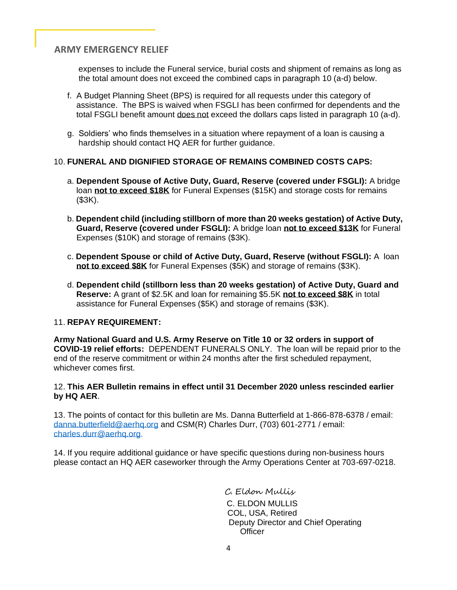expenses to include the Funeral service, burial costs and shipment of remains as long as the total amount does not exceed the combined caps in paragraph 10 (a-d) below.

- f. A Budget Planning Sheet (BPS) is required for all requests under this category of assistance. The BPS is waived when FSGLI has been confirmed for dependents and the total FSGLI benefit amount does not exceed the dollars caps listed in paragraph 10 (a-d).
- g. Soldiers' who finds themselves in a situation where repayment of a loan is causing a hardship should contact HQ AER for further guidance.

## 10. **FUNERAL AND DIGNIFIED STORAGE OF REMAINS COMBINED COSTS CAPS:**

- a. **Dependent Spouse of Active Duty, Guard, Reserve (covered under FSGLI):** A bridge loan **not to exceed \$18K** for Funeral Expenses (\$15K) and storage costs for remains (\$3K).
- b. **Dependent child (including stillborn of more than 20 weeks gestation) of Active Duty, Guard, Reserve (covered under FSGLI):** A bridge loan **not to exceed \$13K** for Funeral Expenses (\$10K) and storage of remains (\$3K).
- c. **Dependent Spouse or child of Active Duty, Guard, Reserve (without FSGLI):** A loan  **not to exceed \$8K** for Funeral Expenses (\$5K) and storage of remains (\$3K).
- d. **Dependent child (stillborn less than 20 weeks gestation) of Active Duty, Guard and Reserve:** A grant of \$2.5K and loan for remaining \$5.5K **not to exceed \$8K** in total assistance for Funeral Expenses (\$5K) and storage of remains (\$3K).

### 11. **REPAY REQUIREMENT:**

**Army National Guard and U.S. Army Reserve on Title 10 or 32 orders in support of COVID-19 relief efforts:** DEPENDENT FUNERALS ONLY. The loan will be repaid prior to the end of the reserve commitment or within 24 months after the first scheduled repayment, whichever comes first.

### 12. **This AER Bulletin remains in effect until 31 December 2020 unless rescinded earlier by HQ AER**.

13. The points of contact for this bulletin are Ms. Danna Butterfield at 1-866-878-6378 / email: [danna.butterfield@aerhq.org](mailto:danna.butterfield@aerhq.org) and CSM(R) Charles Durr, (703) 601-2771 / email: [charles.durr@aerhq.org.](mailto:charles.durr@aerhq.org)

14. If you require additional guidance or have specific questions during non-business hours please contact an HQ AER caseworker through the Army Operations Center at 703-697-0218.

> C. Eldon Mullis C. ELDON MULLIS COL, USA, Retired Deputy Director and Chief Operating **Officer**